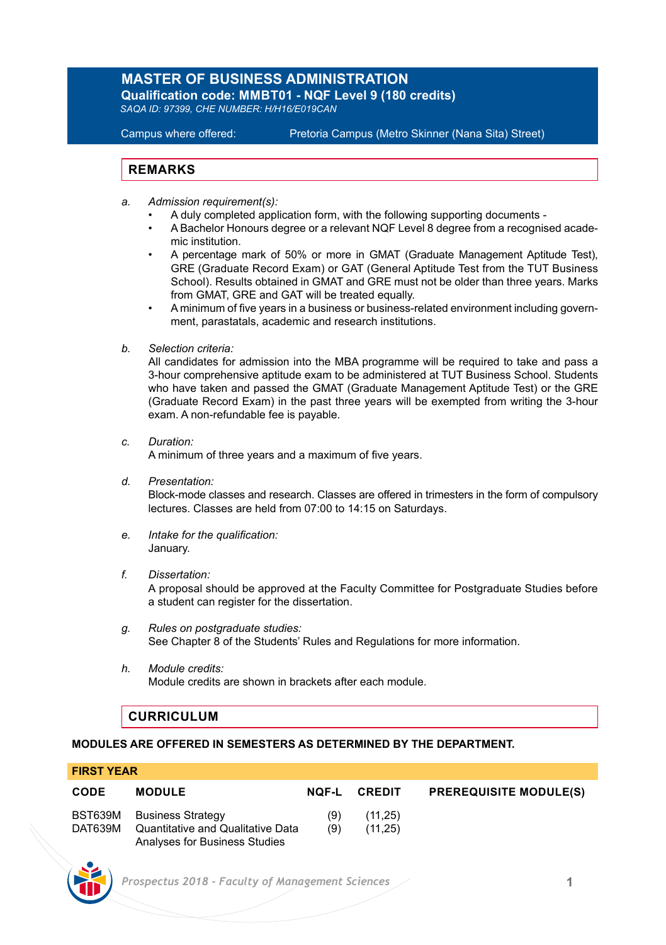# **MASTER OF BUSINESS ADMINISTRATION**

**Qualification code: MMBT01 - NQF Level 9 (180 credits)** *SAQA ID: 97399, CHE NUMBER: H/H16/E019CAN*

Campus where offered: Pretoria Campus (Metro Skinner (Nana Sita) Street)

# **REMARKS**

- *a. Admission requirement(s):*
	- A duly completed application form, with the following supporting documents -
	- A Bachelor Honours degree or a relevant NQF Level 8 degree from a recognised academic institution.
	- A percentage mark of 50% or more in GMAT (Graduate Management Aptitude Test), GRE (Graduate Record Exam) or GAT (General Aptitude Test from the TUT Business School). Results obtained in GMAT and GRE must not be older than three years. Marks from GMAT, GRE and GAT will be treated equally.
	- A minimum of five years in a business or business-related environment including government, parastatals, academic and research institutions.
- *b. Selection criteria:*

All candidates for admission into the MBA programme will be required to take and pass a 3-hour comprehensive aptitude exam to be administered at TUT Business School. Students who have taken and passed the GMAT (Graduate Management Aptitude Test) or the GRE (Graduate Record Exam) in the past three years will be exempted from writing the 3-hour exam. A non-refundable fee is payable.

*c. Duration:*

A minimum of three years and a maximum of five years.

*d. Presentation:*

Block-mode classes and research. Classes are offered in trimesters in the form of compulsory lectures. Classes are held from 07:00 to 14:15 on Saturdays.

- *e. Intake for the qualification:* January.
- *f. Dissertation:*

A proposal should be approved at the Faculty Committee for Postgraduate Studies before a student can register for the dissertation.

- *g. Rules on postgraduate studies:* See Chapter 8 of the Students' Rules and Regulations for more information.
- *h. Module credits:* Module credits are shown in brackets after each module.

# **CURRICULUM**

# **MODULES ARE OFFERED IN SEMESTERS AS DETERMINED BY THE DEPARTMENT.**

# **FIRST YEAR**

| <b>CODE</b> | <b>MODULE</b>                                                                                   | NOF-L      | <b>CREDIT</b>      | <b>PREREQUISITE MODULE(S)</b> |
|-------------|-------------------------------------------------------------------------------------------------|------------|--------------------|-------------------------------|
| DAT639M     | BST639M Business Strategy<br>Quantitative and Qualitative Data<br>Analyses for Business Studies | (9)<br>(9) | (11.25)<br>(11.25) |                               |

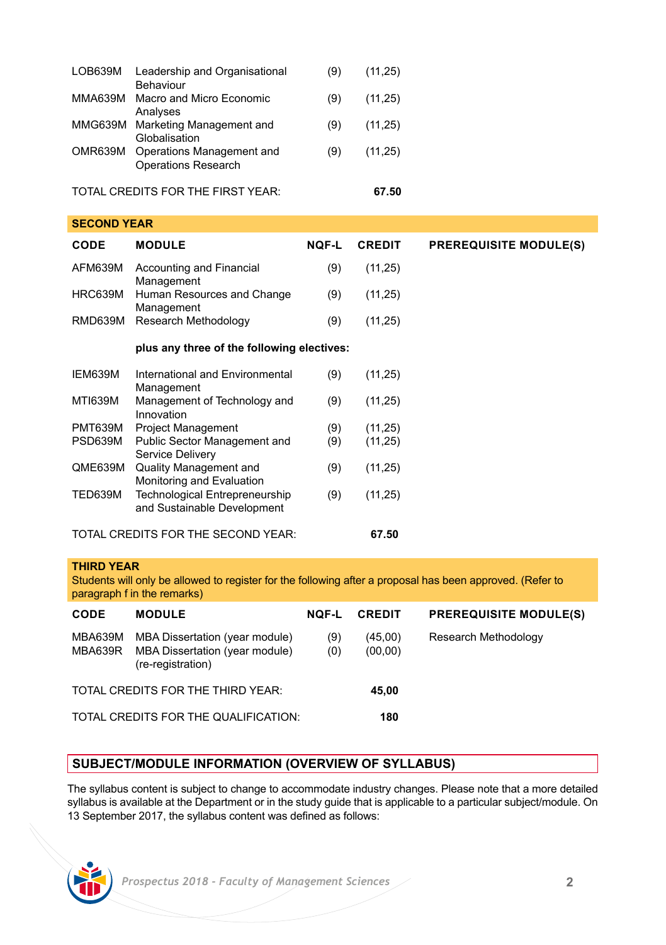| LOB639M | Leadership and Organisational<br>Behaviour              | (9) | (11, 25) |
|---------|---------------------------------------------------------|-----|----------|
| MMA639M | Macro and Micro Economic<br>Analyses                    | (9) | (11, 25) |
| MMG639M | Marketing Management and<br>Globalisation               | (9) | (11, 25) |
| OMR639M | Operations Management and<br><b>Operations Research</b> | (9) | (11.25)  |
|         | TOTAL CREDITS FOR THE FIRST YEAR:                       |     | 67.50    |

| ULVUIIU I LAIN |                                                               |              |               |                               |  |  |
|----------------|---------------------------------------------------------------|--------------|---------------|-------------------------------|--|--|
| CODE           | <b>MODULE</b>                                                 | <b>NQF-L</b> | <b>CREDIT</b> | <b>PREREQUISITE MODULE(S)</b> |  |  |
| AFM639M        | Accounting and Financial<br>Management                        | (9)          | (11,25)       |                               |  |  |
| HRC639M        | Human Resources and Change<br>Management                      | (9)          | (11,25)       |                               |  |  |
| RMD639M        | Research Methodology                                          | (9)          | (11,25)       |                               |  |  |
|                | plus any three of the following electives:                    |              |               |                               |  |  |
| IEM639M        | International and Environmental<br>Management                 | (9)          | (11,25)       |                               |  |  |
| MTI639M        | Management of Technology and<br>Innovation                    | (9)          | (11,25)       |                               |  |  |
| PMT639M        | <b>Project Management</b>                                     | (9)          | (11, 25)      |                               |  |  |
| PSD639M        | Public Sector Management and<br>Service Delivery              | (9)          | (11,25)       |                               |  |  |
| QME639M        | Quality Management and<br>Monitoring and Evaluation           | (9)          | (11, 25)      |                               |  |  |
| TED639M        | Technological Entrepreneurship<br>and Sustainable Development | (9)          | (11,25)       |                               |  |  |
|                | TOTAL CREDITS FOR THE SECOND YEAR:                            |              | 67.50         |                               |  |  |

#### **THIRD YEAR**

**SECOND YEAR**

Students will only be allowed to register for the following after a proposal has been approved. (Refer to paragraph f in the remarks)

| CODE                                 | <b>MODULE</b>                                                                                | <b>NOF-L</b> | <b>CREDIT</b>      | <b>PREREQUISITE MODULE(S)</b> |
|--------------------------------------|----------------------------------------------------------------------------------------------|--------------|--------------------|-------------------------------|
| MBA639M<br>MBA639R                   | <b>MBA Dissertation (year module)</b><br>MBA Dissertation (year module)<br>(re-registration) | (9)<br>(0)   | (45,00)<br>(00,00) | Research Methodology          |
| TOTAL CREDITS FOR THE THIRD YEAR:    |                                                                                              |              | 45.00              |                               |
| TOTAL CREDITS FOR THE QUALIFICATION: |                                                                                              |              | 180                |                               |

# **SUBJECT/MODULE INFORMATION (OVERVIEW OF SYLLABUS)**

The syllabus content is subject to change to accommodate industry changes. Please note that a more detailed syllabus is available at the Department or in the study guide that is applicable to a particular subject/module. On 13 September 2017, the syllabus content was defined as follows: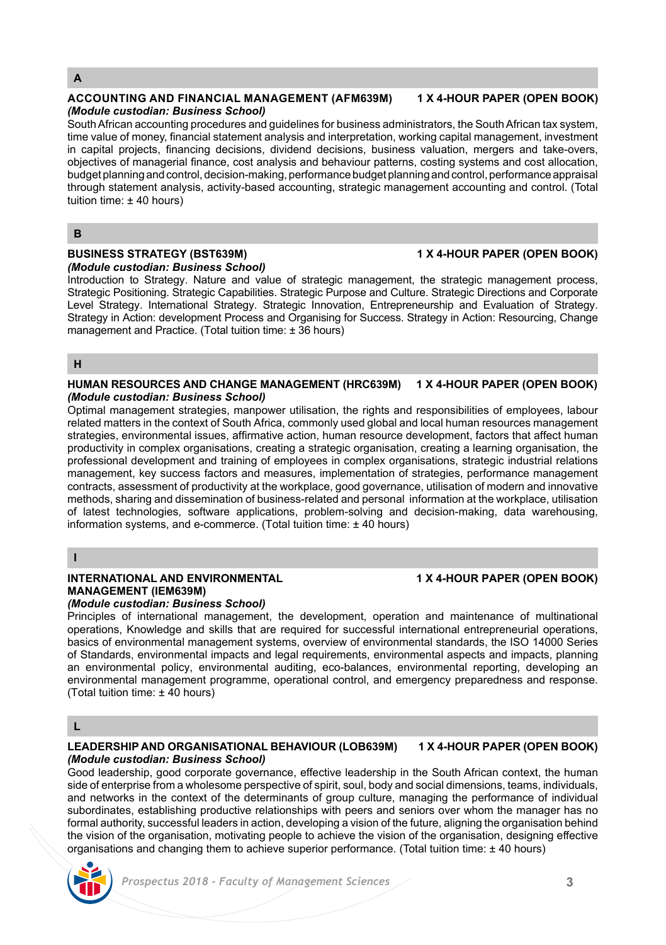# **A**

#### **ACCOUNTING AND FINANCIAL MANAGEMENT (AFM639M) 1 X 4-HOUR PAPER (OPEN BOOK)** *(Module custodian: Business School)*

South African accounting procedures and guidelines for business administrators, the South African tax system, time value of money, financial statement analysis and interpretation, working capital management, investment in capital projects, financing decisions, dividend decisions, business valuation, mergers and take-overs, objectives of managerial finance, cost analysis and behaviour patterns, costing systems and cost allocation, budget planning and control, decision-making, performance budget planning and control, performance appraisal through statement analysis, activity-based accounting, strategic management accounting and control. (Total tuition time: ± 40 hours)

### **B**

#### **BUSINESS STRATEGY (BST639M) 1 X 4-HOUR PAPER (OPEN BOOK)** *(Module custodian: Business School)*

Introduction to Strategy. Nature and value of strategic management, the strategic management process, Strategic Positioning. Strategic Capabilities. Strategic Purpose and Culture. Strategic Directions and Corporate Level Strategy. International Strategy. Strategic Innovation, Entrepreneurship and Evaluation of Strategy. Strategy in Action: development Process and Organising for Success. Strategy in Action: Resourcing, Change management and Practice. (Total tuition time: ± 36 hours)

### **H**

#### **HUMAN RESOURCES AND CHANGE MANAGEMENT (HRC639M) 1 X 4-HOUR PAPER (OPEN BOOK)** *(Module custodian: Business School)*

Optimal management strategies, manpower utilisation, the rights and responsibilities of employees, labour related matters in the context of South Africa, commonly used global and local human resources management strategies, environmental issues, affirmative action, human resource development, factors that affect human productivity in complex organisations, creating a strategic organisation, creating a learning organisation, the professional development and training of employees in complex organisations, strategic industrial relations management, key success factors and measures, implementation of strategies, performance management contracts, assessment of productivity at the workplace, good governance, utilisation of modern and innovative methods, sharing and dissemination of business-related and personal information at the workplace, utilisation of latest technologies, software applications, problem-solving and decision-making, data warehousing, information systems, and e-commerce. (Total tuition time: ± 40 hours)

**I**

# **INTERNATIONAL AND ENVIRONMENTAL 1 X 4-HOUR PAPER (OPEN BOOK) MANAGEMENT (IEM639M)**

## *(Module custodian: Business School)*

Principles of international management, the development, operation and maintenance of multinational operations, Knowledge and skills that are required for successful international entrepreneurial operations, basics of environmental management systems, overview of environmental standards, the ISO 14000 Series of Standards, environmental impacts and legal requirements, environmental aspects and impacts, planning an environmental policy, environmental auditing, eco-balances, environmental reporting, developing an environmental management programme, operational control, and emergency preparedness and response. (Total tuition time: ± 40 hours)

# **L**

### **LEADERSHIP AND ORGANISATIONAL BEHAVIOUR (LOB639M) 1 X 4-HOUR PAPER (OPEN BOOK)** *(Module custodian: Business School)*

Good leadership, good corporate governance, effective leadership in the South African context, the human side of enterprise from a wholesome perspective of spirit, soul, body and social dimensions, teams, individuals, and networks in the context of the determinants of group culture, managing the performance of individual subordinates, establishing productive relationships with peers and seniors over whom the manager has no formal authority, successful leaders in action, developing a vision of the future, aligning the organisation behind the vision of the organisation, motivating people to achieve the vision of the organisation, designing effective organisations and changing them to achieve superior performance. (Total tuition time: ± 40 hours)

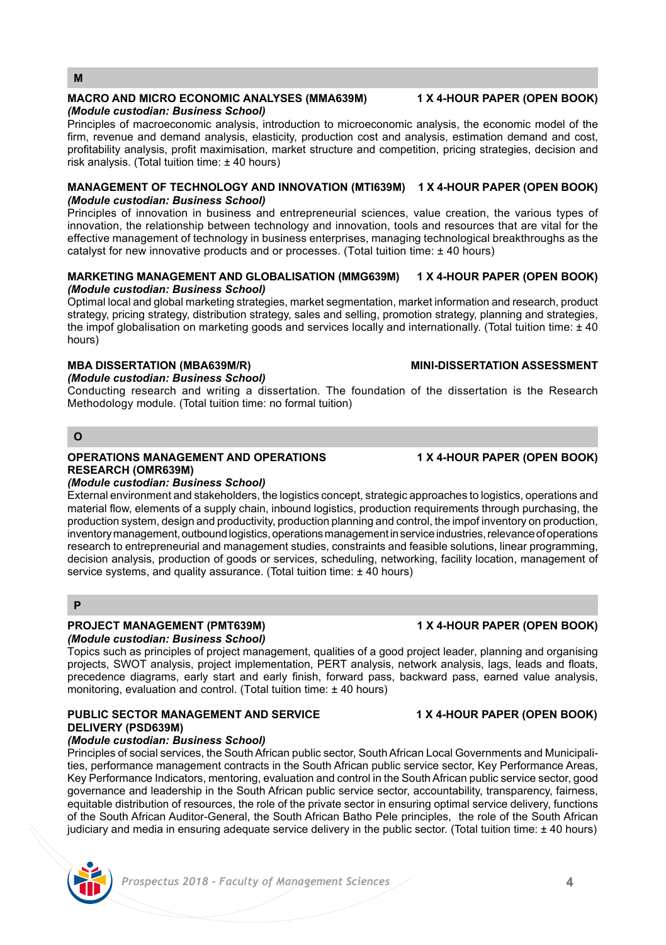# **MACRO AND MICRO ECONOMIC ANALYSES (MMA639M) 1 X 4-HOUR PAPER (OPEN BOOK)**

# *(Module custodian: Business School)*

Principles of macroeconomic analysis, introduction to microeconomic analysis, the economic model of the firm, revenue and demand analysis, elasticity, production cost and analysis, estimation demand and cost, profitability analysis, profit maximisation, market structure and competition, pricing strategies, decision and risk analysis. (Total tuition time: ± 40 hours)

# **MANAGEMENT OF TECHNOLOGY AND INNOVATION (MTI639M) 1 X 4-HOUR PAPER (OPEN BOOK)** *(Module custodian: Business School)*

Principles of innovation in business and entrepreneurial sciences, value creation, the various types of innovation, the relationship between technology and innovation, tools and resources that are vital for the effective management of technology in business enterprises, managing technological breakthroughs as the catalyst for new innovative products and or processes. (Total tuition time: ± 40 hours)

# **MARKETING MANAGEMENT AND GLOBALISATION (MMG639M) 1 X 4-HOUR PAPER (OPEN BOOK)** *(Module custodian: Business School)*

Optimal local and global marketing strategies, market segmentation, market information and research, product strategy, pricing strategy, distribution strategy, sales and selling, promotion strategy, planning and strategies, the impof globalisation on marketing goods and services locally and internationally. (Total tuition time: ± 40 hours)

# **MBA DISSERTATION (MBA639M/R) MINI-DISSERTATION ASSESSMENT**

# *(Module custodian: Business School)*

Conducting research and writing a dissertation. The foundation of the dissertation is the Research Methodology module. (Total tuition time: no formal tuition)

# **O**

**M**

# **OPERATIONS MANAGEMENT AND OPERATIONS 1 X 4-HOUR PAPER (OPEN BOOK) RESEARCH (OMR639M)**

## *(Module custodian: Business School)*

External environment and stakeholders, the logistics concept, strategic approaches to logistics, operations and material flow, elements of a supply chain, inbound logistics, production requirements through purchasing, the production system, design and productivity, production planning and control, the impof inventory on production, inventory management, outbound logistics, operations management in service industries, relevance of operations research to entrepreneurial and management studies, constraints and feasible solutions, linear programming, decision analysis, production of goods or services, scheduling, networking, facility location, management of service systems, and quality assurance. (Total tuition time: ± 40 hours)

# **P**

# **PROJECT MANAGEMENT (PMT639M) 1 X 4-HOUR PAPER (OPEN BOOK)**

*(Module custodian: Business School)*

Topics such as principles of project management, qualities of a good project leader, planning and organising projects, SWOT analysis, project implementation, PERT analysis, network analysis, lags, leads and floats, precedence diagrams, early start and early finish, forward pass, backward pass, earned value analysis, monitoring, evaluation and control. (Total tuition time: ± 40 hours)

#### **PUBLIC SECTOR MANAGEMENT AND SERVICE 1 X 4-HOUR PAPER (OPEN BOOK) DELIVERY (PSD639M)** *(Module custodian: Business School)*

Principles of social services, the South African public sector, South African Local Governments and Municipalities, performance management contracts in the South African public service sector, Key Performance Areas, Key Performance Indicators, mentoring, evaluation and control in the South African public service sector, good governance and leadership in the South African public service sector, accountability, transparency, fairness, equitable distribution of resources, the role of the private sector in ensuring optimal service delivery, functions of the South African Auditor-General, the South African Batho Pele principles, the role of the South African judiciary and media in ensuring adequate service delivery in the public sector. (Total tuition time:  $\pm$  40 hours)

# *Prospectus 2018 - Faculty of Management Sciences* **4**